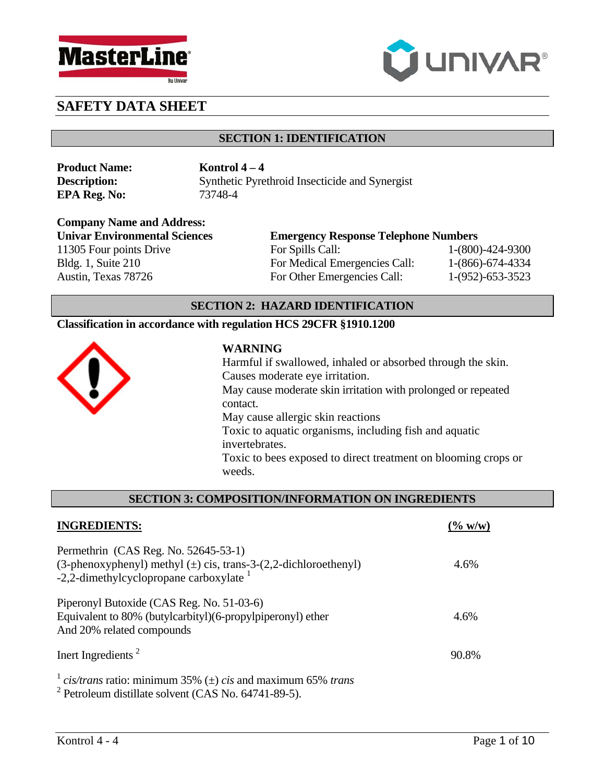



## **SECTION 1: IDENTIFICATION**

**Product Name: Kontrol 4 – 4 EPA Reg. No:** 73748-4

**Description:** Synthetic Pyrethroid Insecticide and Synergist

**Company Name and Address:**  11305 Four points Drive For Spills Call: 1-(800)-424-9300 Bldg. 1, Suite 210 For Medical Emergencies Call: 1-(866)-674-4334 Austin, Texas 78726 For Other Emergencies Call: 1-(952)-653-3523

**Univar Environmental Sciences Emergency Response Telephone Numbers**

## **SECTION 2: HAZARD IDENTIFICATION**

### **Classification in accordance with regulation HCS 29CFR §1910.1200**



### **WARNING**

Harmful if swallowed, inhaled or absorbed through the skin. Causes moderate eye irritation. May cause moderate skin irritation with prolonged or repeated contact. May cause allergic skin reactions Toxic to aquatic organisms, including fish and aquatic invertebrates. Toxic to bees exposed to direct treatment on blooming crops or

weeds.

### **SECTION 3: COMPOSITION/INFORMATION ON INGREDIENTS**

| <b>INGREDIENTS:</b>                                                                                                                                      | $\frac{6}{100}$ w/w) |
|----------------------------------------------------------------------------------------------------------------------------------------------------------|----------------------|
| Permethrin (CAS Reg. No. 52645-53-1)<br>(3-phenoxyphenyl) methyl $(\pm)$ cis, trans-3-(2,2-dichloroethenyl)<br>-2,2-dimethylcyclopropane carboxylate $1$ | 4.6%                 |
| Piperonyl Butoxide (CAS Reg. No. 51-03-6)<br>Equivalent to 80% (butylcarbityl)(6-propylpiperonyl) ether<br>And 20% related compounds                     | 4.6%                 |
| Inert Ingredients <sup>2</sup>                                                                                                                           | 90.8%                |
| <sup>1</sup> cis/trans ratio: minimum 35% ( $\pm$ ) cis and maximum 65% trans<br>$2.5 \pm 1$ $1.21 \pm 1.201$ $(0.101)$ $(0.61)$                         |                      |

2 Petroleum distillate solvent (CAS No. 64741-89-5).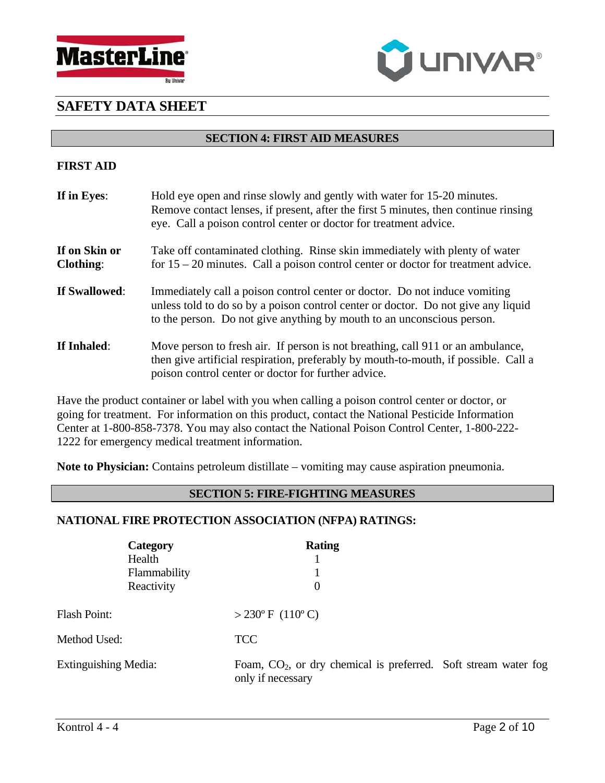



### **SECTION 4: FIRST AID MEASURES**

### **FIRST AID**

| If in Eyes:                       | Hold eye open and rinse slowly and gently with water for 15-20 minutes.<br>Remove contact lenses, if present, after the first 5 minutes, then continue rinsing<br>eye. Call a poison control center or doctor for treatment advice.       |
|-----------------------------------|-------------------------------------------------------------------------------------------------------------------------------------------------------------------------------------------------------------------------------------------|
| If on Skin or<br><b>Clothing:</b> | Take off contaminated clothing. Rinse skin immediately with plenty of water<br>for $15 - 20$ minutes. Call a poison control center or doctor for treatment advice.                                                                        |
| If Swallowed:                     | Immediately call a poison control center or doctor. Do not induce vomiting<br>unless told to do so by a poison control center or doctor. Do not give any liquid<br>to the person. Do not give anything by mouth to an unconscious person. |
| If Inhaled:                       | Move person to fresh air. If person is not breathing, call 911 or an ambulance,<br>then give artificial respiration, preferably by mouth-to-mouth, if possible. Call a<br>poison control center or doctor for further advice.             |

Have the product container or label with you when calling a poison control center or doctor, or going for treatment. For information on this product, contact the National Pesticide Information Center at 1-800-858-7378. You may also contact the National Poison Control Center, 1-800-222- 1222 for emergency medical treatment information.

**Note to Physician:** Contains petroleum distillate – vomiting may cause aspiration pneumonia.

### **SECTION 5: FIRE-FIGHTING MEASURES**

### **NATIONAL FIRE PROTECTION ASSOCIATION (NFPA) RATINGS:**

|                             | Category<br>Health<br>Flammability<br>Reactivity | <b>Rating</b><br>$\theta$                                                              |  |
|-----------------------------|--------------------------------------------------|----------------------------------------------------------------------------------------|--|
| <b>Flash Point:</b>         |                                                  | $>230^{\circ}$ F (110°C)                                                               |  |
| Method Used:                |                                                  | <b>TCC</b>                                                                             |  |
| <b>Extinguishing Media:</b> |                                                  | Foam, $CO2$ , or dry chemical is preferred. Soft stream water fog<br>only if necessary |  |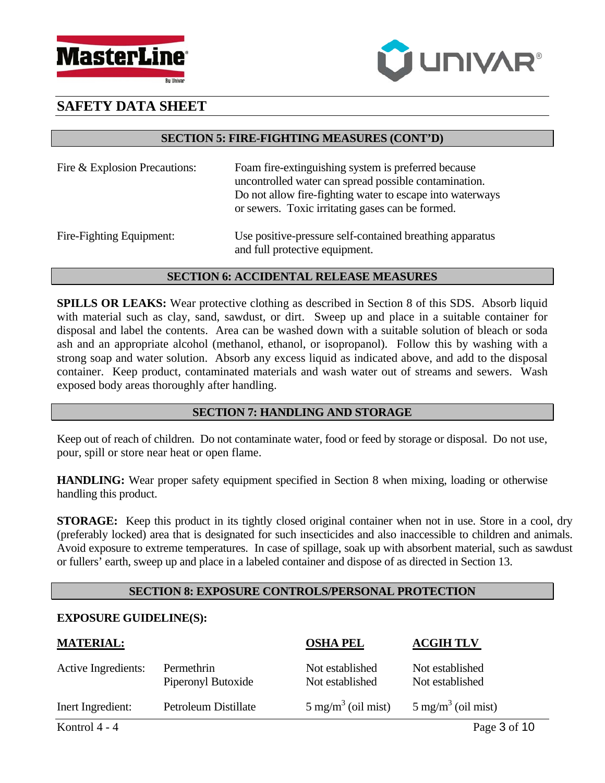



### **SECTION 5: FIRE-FIGHTING MEASURES (CONT'D)**

| Fire & Explosion Precautions:                                                        | Foam fire-extinguishing system is preferred because<br>uncontrolled water can spread possible contamination.<br>Do not allow fire-fighting water to escape into waterways<br>or sewers. Toxic irritating gases can be formed. |
|--------------------------------------------------------------------------------------|-------------------------------------------------------------------------------------------------------------------------------------------------------------------------------------------------------------------------------|
| $\Gamma$ <sub>ing</sub> $\Gamma$ <sub>i</sub> ghting $\Gamma$ <sub>a</sub> inproved. | Use positive pressure self contained breathing epperatus                                                                                                                                                                      |

Fire-Fighting Equipment: Use positive-pressure self-contained breathing apparatus and full protective equipment.

### **SECTION 6: ACCIDENTAL RELEASE MEASURES**

**SPILLS OR LEAKS:** Wear protective clothing as described in Section 8 of this SDS. Absorb liquid with material such as clay, sand, sawdust, or dirt. Sweep up and place in a suitable container for disposal and label the contents. Area can be washed down with a suitable solution of bleach or soda ash and an appropriate alcohol (methanol, ethanol, or isopropanol). Follow this by washing with a strong soap and water solution. Absorb any excess liquid as indicated above, and add to the disposal container. Keep product, contaminated materials and wash water out of streams and sewers. Wash exposed body areas thoroughly after handling.

# **SECTION 7: HANDLING AND STORAGE**

Keep out of reach of children. Do not contaminate water, food or feed by storage or disposal. Do not use, pour, spill or store near heat or open flame.

**HANDLING:** Wear proper safety equipment specified in Section 8 when mixing, loading or otherwise handling this product.

**STORAGE:** Keep this product in its tightly closed original container when not in use. Store in a cool, dry (preferably locked) area that is designated for such insecticides and also inaccessible to children and animals. Avoid exposure to extreme temperatures. In case of spillage, soak up with absorbent material, such as sawdust or fullers' earth, sweep up and place in a labeled container and dispose of as directed in Section 13.

# **SECTION 8: EXPOSURE CONTROLS/PERSONAL PROTECTION**

## **EXPOSURE GUIDELINE(S):**

| <b>MATERIAL:</b>    |                                  | <b>OSHA PEL</b>                    | <b>ACGIH TLV</b>                   |
|---------------------|----------------------------------|------------------------------------|------------------------------------|
| Active Ingredients: | Permethrin<br>Piperonyl Butoxide | Not established<br>Not established | Not established<br>Not established |
| Inert Ingredient:   | Petroleum Distillate             | $5 \text{ mg/m}^3$ (oil mist)      | $5 \text{ mg/m}^3$ (oil mist)      |
| Kontrol 4 - 4       |                                  |                                    | Page 3 of 10                       |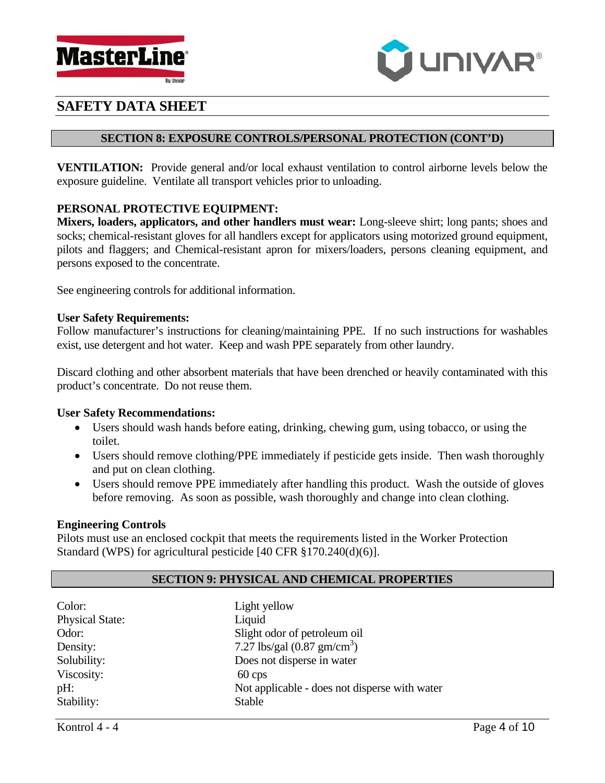



### **SECTION 8: EXPOSURE CONTROLS/PERSONAL PROTECTION (CONT'D)**

**VENTILATION:** Provide general and/or local exhaust ventilation to control airborne levels below the exposure guideline. Ventilate all transport vehicles prior to unloading.

## **PERSONAL PROTECTIVE EQUIPMENT:**

**Mixers, loaders, applicators, and other handlers must wear:** Long-sleeve shirt; long pants; shoes and socks; chemical-resistant gloves for all handlers except for applicators using motorized ground equipment, pilots and flaggers; and Chemical-resistant apron for mixers/loaders, persons cleaning equipment, and persons exposed to the concentrate.

See engineering controls for additional information.

#### **User Safety Requirements:**

Follow manufacturer's instructions for cleaning/maintaining PPE. If no such instructions for washables exist, use detergent and hot water. Keep and wash PPE separately from other laundry.

Discard clothing and other absorbent materials that have been drenched or heavily contaminated with this product's concentrate. Do not reuse them.

### **User Safety Recommendations:**

- Users should wash hands before eating, drinking, chewing gum, using tobacco, or using the toilet.
- Users should remove clothing/PPE immediately if pesticide gets inside. Then wash thoroughly and put on clean clothing.
- Users should remove PPE immediately after handling this product. Wash the outside of gloves before removing. As soon as possible, wash thoroughly and change into clean clothing.

### **Engineering Controls**

Pilots must use an enclosed cockpit that meets the requirements listed in the Worker Protection Standard (WPS) for agricultural pesticide [40 CFR §170.240(d)(6)].

## **SECTION 9: PHYSICAL AND CHEMICAL PROPERTIES**

| Light yellow                                  |
|-----------------------------------------------|
| Liquid                                        |
| Slight odor of petroleum oil                  |
| 7.27 lbs/gal $(0.87 \text{ gm/cm}^3)$         |
| Does not disperse in water                    |
| $60 \,\text{cps}$                             |
| Not applicable - does not disperse with water |
| Stable                                        |
|                                               |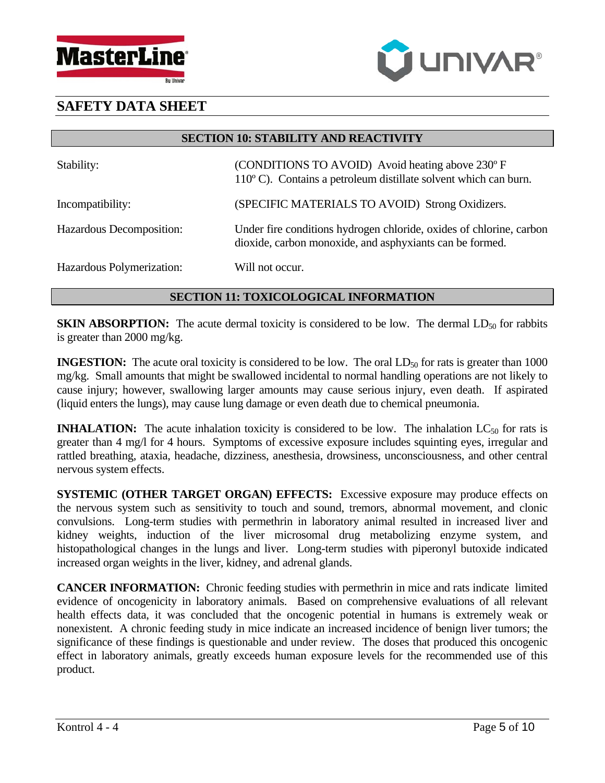



**SECTION 10: STABILITY AND REACTIVITY** 

| Stability:                | (CONDITIONS TO AVOID) Avoid heating above 230°F<br>$110^{\circ}$ C). Contains a petroleum distillate solvent which can burn.    |
|---------------------------|---------------------------------------------------------------------------------------------------------------------------------|
| Incompatibility:          | (SPECIFIC MATERIALS TO AVOID) Strong Oxidizers.                                                                                 |
| Hazardous Decomposition:  | Under fire conditions hydrogen chloride, oxides of chlorine, carbon<br>dioxide, carbon monoxide, and asphyxiants can be formed. |
| Hazardous Polymerization: | Will not occur.                                                                                                                 |

# **SECTION 11: TOXICOLOGICAL INFORMATION**

**SKIN ABSORPTION:** The acute dermal toxicity is considered to be low. The dermal  $LD_{50}$  for rabbits is greater than 2000 mg/kg.

**INGESTION:** The acute oral toxicity is considered to be low. The oral LD<sub>50</sub> for rats is greater than 1000 mg/kg. Small amounts that might be swallowed incidental to normal handling operations are not likely to cause injury; however, swallowing larger amounts may cause serious injury, even death. If aspirated (liquid enters the lungs), may cause lung damage or even death due to chemical pneumonia.

**INHALATION:** The acute inhalation toxicity is considered to be low. The inhalation  $LC_{50}$  for rats is greater than 4 mg/l for 4 hours. Symptoms of excessive exposure includes squinting eyes, irregular and rattled breathing, ataxia, headache, dizziness, anesthesia, drowsiness, unconsciousness, and other central nervous system effects.

**SYSTEMIC (OTHER TARGET ORGAN) EFFECTS:** Excessive exposure may produce effects on the nervous system such as sensitivity to touch and sound, tremors, abnormal movement, and clonic convulsions. Long-term studies with permethrin in laboratory animal resulted in increased liver and kidney weights, induction of the liver microsomal drug metabolizing enzyme system, and histopathological changes in the lungs and liver. Long-term studies with piperonyl butoxide indicated increased organ weights in the liver, kidney, and adrenal glands.

**CANCER INFORMATION:** Chronic feeding studies with permethrin in mice and rats indicate limited evidence of oncogenicity in laboratory animals. Based on comprehensive evaluations of all relevant health effects data, it was concluded that the oncogenic potential in humans is extremely weak or nonexistent. A chronic feeding study in mice indicate an increased incidence of benign liver tumors; the significance of these findings is questionable and under review. The doses that produced this oncogenic effect in laboratory animals, greatly exceeds human exposure levels for the recommended use of this product.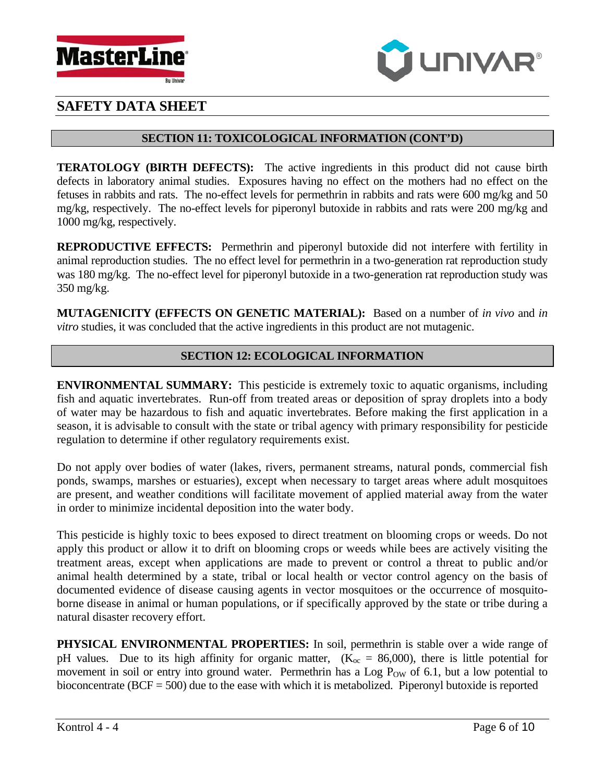



## **SECTION 11: TOXICOLOGICAL INFORMATION (CONT'D)**

**TERATOLOGY (BIRTH DEFECTS):** The active ingredients in this product did not cause birth defects in laboratory animal studies. Exposures having no effect on the mothers had no effect on the fetuses in rabbits and rats. The no-effect levels for permethrin in rabbits and rats were 600 mg/kg and 50 mg/kg, respectively. The no-effect levels for piperonyl butoxide in rabbits and rats were 200 mg/kg and 1000 mg/kg, respectively.

**REPRODUCTIVE EFFECTS:** Permethrin and piperonyl butoxide did not interfere with fertility in animal reproduction studies. The no effect level for permethrin in a two-generation rat reproduction study was 180 mg/kg. The no-effect level for piperonyl butoxide in a two-generation rat reproduction study was 350 mg/kg.

**MUTAGENICITY (EFFECTS ON GENETIC MATERIAL):** Based on a number of *in vivo* and *in vitro* studies, it was concluded that the active ingredients in this product are not mutagenic.

# **SECTION 12: ECOLOGICAL INFORMATION**

**ENVIRONMENTAL SUMMARY:** This pesticide is extremely toxic to aquatic organisms, including fish and aquatic invertebrates. Run-off from treated areas or deposition of spray droplets into a body of water may be hazardous to fish and aquatic invertebrates. Before making the first application in a season, it is advisable to consult with the state or tribal agency with primary responsibility for pesticide regulation to determine if other regulatory requirements exist.

Do not apply over bodies of water (lakes, rivers, permanent streams, natural ponds, commercial fish ponds, swamps, marshes or estuaries), except when necessary to target areas where adult mosquitoes are present, and weather conditions will facilitate movement of applied material away from the water in order to minimize incidental deposition into the water body.

This pesticide is highly toxic to bees exposed to direct treatment on blooming crops or weeds. Do not apply this product or allow it to drift on blooming crops or weeds while bees are actively visiting the treatment areas, except when applications are made to prevent or control a threat to public and/or animal health determined by a state, tribal or local health or vector control agency on the basis of documented evidence of disease causing agents in vector mosquitoes or the occurrence of mosquitoborne disease in animal or human populations, or if specifically approved by the state or tribe during a natural disaster recovery effort.

**PHYSICAL ENVIRONMENTAL PROPERTIES:** In soil, permethrin is stable over a wide range of pH values. Due to its high affinity for organic matter,  $(K_{\text{oc}} = 86,000)$ , there is little potential for movement in soil or entry into ground water. Permethrin has a Log  $P_{OW}$  of 6.1, but a low potential to bioconcentrate ( $BCF = 500$ ) due to the ease with which it is metabolized. Piperonyl butoxide is reported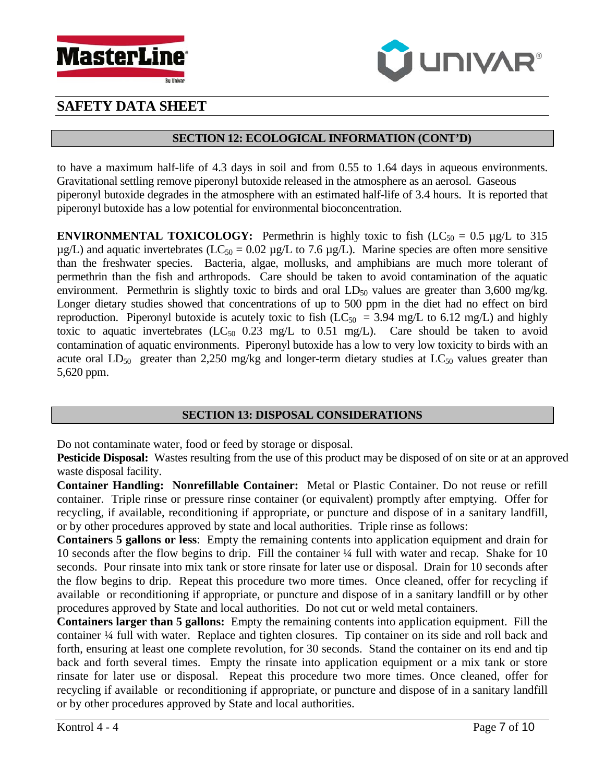



## **SECTION 12: ECOLOGICAL INFORMATION (CONT'D)**

to have a maximum half-life of 4.3 days in soil and from 0.55 to 1.64 days in aqueous environments. Gravitational settling remove piperonyl butoxide released in the atmosphere as an aerosol. Gaseous piperonyl butoxide degrades in the atmosphere with an estimated half-life of 3.4 hours. It is reported that piperonyl butoxide has a low potential for environmental bioconcentration.

**ENVIRONMENTAL TOXICOLOGY:** Permethrin is highly toxic to fish  $(LC_{50} = 0.5 \mu g/L)$  to 315  $\mu$ g/L) and aquatic invertebrates (LC<sub>50</sub> = 0.02  $\mu$ g/L to 7.6  $\mu$ g/L). Marine species are often more sensitive than the freshwater species. Bacteria, algae, mollusks, and amphibians are much more tolerant of permethrin than the fish and arthropods. Care should be taken to avoid contamination of the aquatic environment. Permethrin is slightly toxic to birds and oral  $LD_{50}$  values are greater than 3,600 mg/kg. Longer dietary studies showed that concentrations of up to 500 ppm in the diet had no effect on bird reproduction. Piperonyl butoxide is acutely toxic to fish ( $LC_{50}$  = 3.94 mg/L to 6.12 mg/L) and highly toxic to aquatic invertebrates  $(LC_{50}$  0.23 mg/L to 0.51 mg/L). Care should be taken to avoid contamination of aquatic environments. Piperonyl butoxide has a low to very low toxicity to birds with an acute oral  $LD_{50}$  greater than 2,250 mg/kg and longer-term dietary studies at  $LC_{50}$  values greater than 5,620 ppm.

## **SECTION 13: DISPOSAL CONSIDERATIONS**

Do not contaminate water, food or feed by storage or disposal.

**Pesticide Disposal:** Wastes resulting from the use of this product may be disposed of on site or at an approved waste disposal facility.

**Container Handling: Nonrefillable Container:** Metal or Plastic Container. Do not reuse or refill container. Triple rinse or pressure rinse container (or equivalent) promptly after emptying. Offer for recycling, if available, reconditioning if appropriate, or puncture and dispose of in a sanitary landfill, or by other procedures approved by state and local authorities. Triple rinse as follows:

**Containers 5 gallons or less**: Empty the remaining contents into application equipment and drain for 10 seconds after the flow begins to drip. Fill the container ¼ full with water and recap. Shake for 10 seconds. Pour rinsate into mix tank or store rinsate for later use or disposal. Drain for 10 seconds after the flow begins to drip. Repeat this procedure two more times. Once cleaned, offer for recycling if available or reconditioning if appropriate, or puncture and dispose of in a sanitary landfill or by other procedures approved by State and local authorities. Do not cut or weld metal containers.

**Containers larger than 5 gallons:** Empty the remaining contents into application equipment. Fill the container ¼ full with water. Replace and tighten closures. Tip container on its side and roll back and forth, ensuring at least one complete revolution, for 30 seconds. Stand the container on its end and tip back and forth several times. Empty the rinsate into application equipment or a mix tank or store rinsate for later use or disposal. Repeat this procedure two more times. Once cleaned, offer for recycling if available or reconditioning if appropriate, or puncture and dispose of in a sanitary landfill or by other procedures approved by State and local authorities.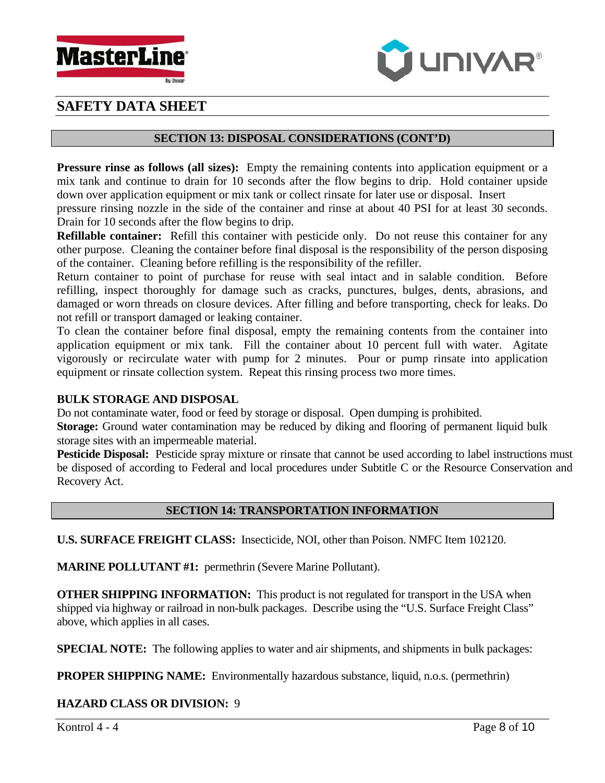



### **SECTION 13: DISPOSAL CONSIDERATIONS (CONT'D)**

**Pressure rinse as follows (all sizes):** Empty the remaining contents into application equipment or a mix tank and continue to drain for 10 seconds after the flow begins to drip. Hold container upside down over application equipment or mix tank or collect rinsate for later use or disposal. Insert

pressure rinsing nozzle in the side of the container and rinse at about 40 PSI for at least 30 seconds. Drain for 10 seconds after the flow begins to drip.

**Refillable container:** Refill this container with pesticide only. Do not reuse this container for any other purpose. Cleaning the container before final disposal is the responsibility of the person disposing of the container. Cleaning before refilling is the responsibility of the refiller.

Return container to point of purchase for reuse with seal intact and in salable condition. Before refilling, inspect thoroughly for damage such as cracks, punctures, bulges, dents, abrasions, and damaged or worn threads on closure devices. After filling and before transporting, check for leaks. Do not refill or transport damaged or leaking container.

To clean the container before final disposal, empty the remaining contents from the container into application equipment or mix tank. Fill the container about 10 percent full with water. Agitate vigorously or recirculate water with pump for 2 minutes. Pour or pump rinsate into application equipment or rinsate collection system. Repeat this rinsing process two more times.

### **BULK STORAGE AND DISPOSAL**

Do not contaminate water, food or feed by storage or disposal. Open dumping is prohibited.

**Storage:** Ground water contamination may be reduced by diking and flooring of permanent liquid bulk storage sites with an impermeable material.

**Pesticide Disposal:** Pesticide spray mixture or rinsate that cannot be used according to label instructions must be disposed of according to Federal and local procedures under Subtitle C or the Resource Conservation and Recovery Act.

## **SECTION 14: TRANSPORTATION INFORMATION**

**U.S. SURFACE FREIGHT CLASS:** Insecticide, NOI, other than Poison. NMFC Item 102120.

**MARINE POLLUTANT #1:** permethrin (Severe Marine Pollutant).

**OTHER SHIPPING INFORMATION:** This product is not regulated for transport in the USA when shipped via highway or railroad in non-bulk packages. Describe using the "U.S. Surface Freight Class" above, which applies in all cases.

**SPECIAL NOTE:** The following applies to water and air shipments, and shipments in bulk packages:

**PROPER SHIPPING NAME:** Environmentally hazardous substance, liquid, n.o.s. (permethrin)

## **HAZARD CLASS OR DIVISION:** 9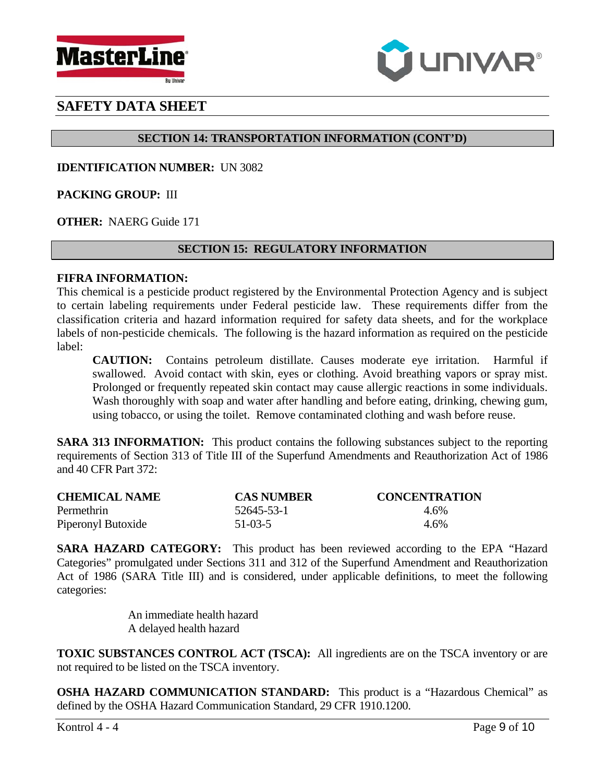



# **SECTION 14: TRANSPORTATION INFORMATION (CONT'D)**

**IDENTIFICATION NUMBER:** UN 3082

**PACKING GROUP:** III

**OTHER:** NAERG Guide 171

## **SECTION 15: REGULATORY INFORMATION**

### **FIFRA INFORMATION:**

This chemical is a pesticide product registered by the Environmental Protection Agency and is subject to certain labeling requirements under Federal pesticide law. These requirements differ from the classification criteria and hazard information required for safety data sheets, and for the workplace labels of non-pesticide chemicals. The following is the hazard information as required on the pesticide label:

**CAUTION:** Contains petroleum distillate. Causes moderate eye irritation. Harmful if swallowed. Avoid contact with skin, eyes or clothing. Avoid breathing vapors or spray mist. Prolonged or frequently repeated skin contact may cause allergic reactions in some individuals. Wash thoroughly with soap and water after handling and before eating, drinking, chewing gum, using tobacco, or using the toilet. Remove contaminated clothing and wash before reuse.

**SARA 313 INFORMATION:** This product contains the following substances subject to the reporting requirements of Section 313 of Title III of the Superfund Amendments and Reauthorization Act of 1986 and 40 CFR Part 372:

| <b>CHEMICAL NAME</b> | <b>CAS NUMBER</b> | <b>CONCENTRATION</b> |
|----------------------|-------------------|----------------------|
| Permethrin           | 52645-53-1        | 4.6%                 |
| Piperonyl Butoxide   | $51-03-5$         | 4.6%                 |

**SARA HAZARD CATEGORY:** This product has been reviewed according to the EPA "Hazard Categories" promulgated under Sections 311 and 312 of the Superfund Amendment and Reauthorization Act of 1986 (SARA Title III) and is considered, under applicable definitions, to meet the following categories:

> An immediate health hazard A delayed health hazard

**TOXIC SUBSTANCES CONTROL ACT (TSCA):** All ingredients are on the TSCA inventory or are not required to be listed on the TSCA inventory.

**OSHA HAZARD COMMUNICATION STANDARD:** This product is a "Hazardous Chemical" as defined by the OSHA Hazard Communication Standard, 29 CFR 1910.1200.